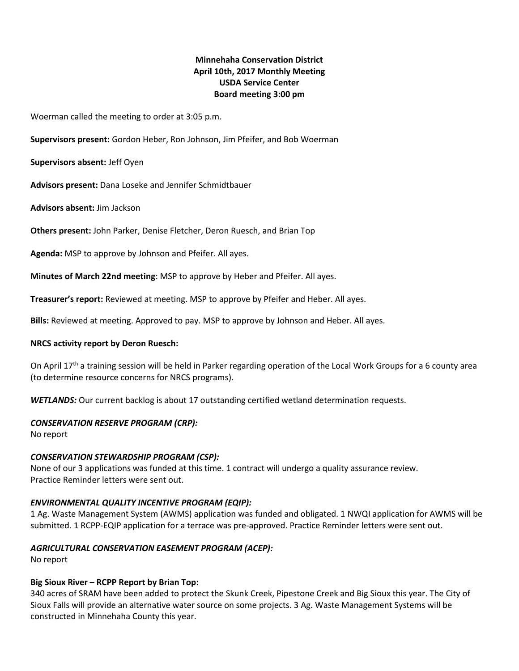# **Minnehaha Conservation District April 10th, 2017 Monthly Meeting USDA Service Center Board meeting 3:00 pm**

Woerman called the meeting to order at 3:05 p.m.

**Supervisors present:** Gordon Heber, Ron Johnson, Jim Pfeifer, and Bob Woerman

**Supervisors absent:** Jeff Oyen

**Advisors present:** Dana Loseke and Jennifer Schmidtbauer

**Advisors absent:** Jim Jackson

**Others present:** John Parker, Denise Fletcher, Deron Ruesch, and Brian Top

**Agenda:** MSP to approve by Johnson and Pfeifer. All ayes.

**Minutes of March 22nd meeting**: MSP to approve by Heber and Pfeifer. All ayes.

**Treasurer's report:** Reviewed at meeting. MSP to approve by Pfeifer and Heber. All ayes.

**Bills:** Reviewed at meeting. Approved to pay. MSP to approve by Johnson and Heber. All ayes.

#### **NRCS activity report by Deron Ruesch:**

On April 17<sup>th</sup> a training session will be held in Parker regarding operation of the Local Work Groups for a 6 county area (to determine resource concerns for NRCS programs).

*WETLANDS:* Our current backlog is about 17 outstanding certified wetland determination requests.

#### *CONSERVATION RESERVE PROGRAM (CRP):*

No report

# *CONSERVATION STEWARDSHIP PROGRAM (CSP):*

None of our 3 applications was funded at this time. 1 contract will undergo a quality assurance review. Practice Reminder letters were sent out.

# *ENVIRONMENTAL QUALITY INCENTIVE PROGRAM (EQIP):*

1 Ag. Waste Management System (AWMS) application was funded and obligated. 1 NWQI application for AWMS will be submitted. 1 RCPP-EQIP application for a terrace was pre-approved. Practice Reminder letters were sent out.

# *AGRICULTURAL CONSERVATION EASEMENT PROGRAM (ACEP):*

No report

# **Big Sioux River – RCPP Report by Brian Top:**

340 acres of SRAM have been added to protect the Skunk Creek, Pipestone Creek and Big Sioux this year. The City of Sioux Falls will provide an alternative water source on some projects. 3 Ag. Waste Management Systems will be constructed in Minnehaha County this year.